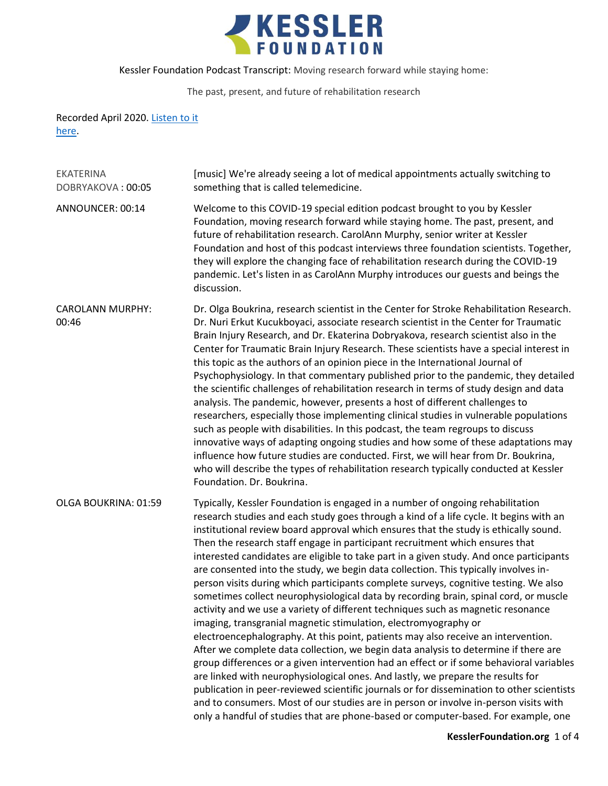

## The past, present, and future of rehabilitation research

## Recorded April 2020. Listen to it [here.](https://soundcloud.com/kesslerfoundation/moving-research-forward-while-staying-home-the-past-present-and-future-of-rehabilitation-research)

| <b>EKATERINA</b><br>DOBRYAKOVA: 00:05 | [music] We're already seeing a lot of medical appointments actually switching to<br>something that is called telemedicine.                                                                                                                                                                                                                                                                                                                                                                                                                                                                                                                                                                                                                                                                                                                                                                                                                                                                                                                                                                                                                                                                                                                                                                                                                                                                                                                                                                                     |
|---------------------------------------|----------------------------------------------------------------------------------------------------------------------------------------------------------------------------------------------------------------------------------------------------------------------------------------------------------------------------------------------------------------------------------------------------------------------------------------------------------------------------------------------------------------------------------------------------------------------------------------------------------------------------------------------------------------------------------------------------------------------------------------------------------------------------------------------------------------------------------------------------------------------------------------------------------------------------------------------------------------------------------------------------------------------------------------------------------------------------------------------------------------------------------------------------------------------------------------------------------------------------------------------------------------------------------------------------------------------------------------------------------------------------------------------------------------------------------------------------------------------------------------------------------------|
| ANNOUNCER: 00:14                      | Welcome to this COVID-19 special edition podcast brought to you by Kessler<br>Foundation, moving research forward while staying home. The past, present, and<br>future of rehabilitation research. CarolAnn Murphy, senior writer at Kessler<br>Foundation and host of this podcast interviews three foundation scientists. Together,<br>they will explore the changing face of rehabilitation research during the COVID-19<br>pandemic. Let's listen in as CarolAnn Murphy introduces our guests and beings the<br>discussion.                                                                                                                                                                                                                                                                                                                                                                                                                                                                                                                                                                                                                                                                                                                                                                                                                                                                                                                                                                                |
| <b>CAROLANN MURPHY:</b><br>00:46      | Dr. Olga Boukrina, research scientist in the Center for Stroke Rehabilitation Research.<br>Dr. Nuri Erkut Kucukboyaci, associate research scientist in the Center for Traumatic<br>Brain Injury Research, and Dr. Ekaterina Dobryakova, research scientist also in the<br>Center for Traumatic Brain Injury Research. These scientists have a special interest in<br>this topic as the authors of an opinion piece in the International Journal of<br>Psychophysiology. In that commentary published prior to the pandemic, they detailed<br>the scientific challenges of rehabilitation research in terms of study design and data<br>analysis. The pandemic, however, presents a host of different challenges to<br>researchers, especially those implementing clinical studies in vulnerable populations<br>such as people with disabilities. In this podcast, the team regroups to discuss<br>innovative ways of adapting ongoing studies and how some of these adaptations may<br>influence how future studies are conducted. First, we will hear from Dr. Boukrina,<br>who will describe the types of rehabilitation research typically conducted at Kessler<br>Foundation. Dr. Boukrina.                                                                                                                                                                                                                                                                                                                |
| OLGA BOUKRINA: 01:59                  | Typically, Kessler Foundation is engaged in a number of ongoing rehabilitation<br>research studies and each study goes through a kind of a life cycle. It begins with an<br>institutional review board approval which ensures that the study is ethically sound.<br>Then the research staff engage in participant recruitment which ensures that<br>interested candidates are eligible to take part in a given study. And once participants<br>are consented into the study, we begin data collection. This typically involves in-<br>person visits during which participants complete surveys, cognitive testing. We also<br>sometimes collect neurophysiological data by recording brain, spinal cord, or muscle<br>activity and we use a variety of different techniques such as magnetic resonance<br>imaging, transgranial magnetic stimulation, electromyography or<br>electroencephalography. At this point, patients may also receive an intervention.<br>After we complete data collection, we begin data analysis to determine if there are<br>group differences or a given intervention had an effect or if some behavioral variables<br>are linked with neurophysiological ones. And lastly, we prepare the results for<br>publication in peer-reviewed scientific journals or for dissemination to other scientists<br>and to consumers. Most of our studies are in person or involve in-person visits with<br>only a handful of studies that are phone-based or computer-based. For example, one |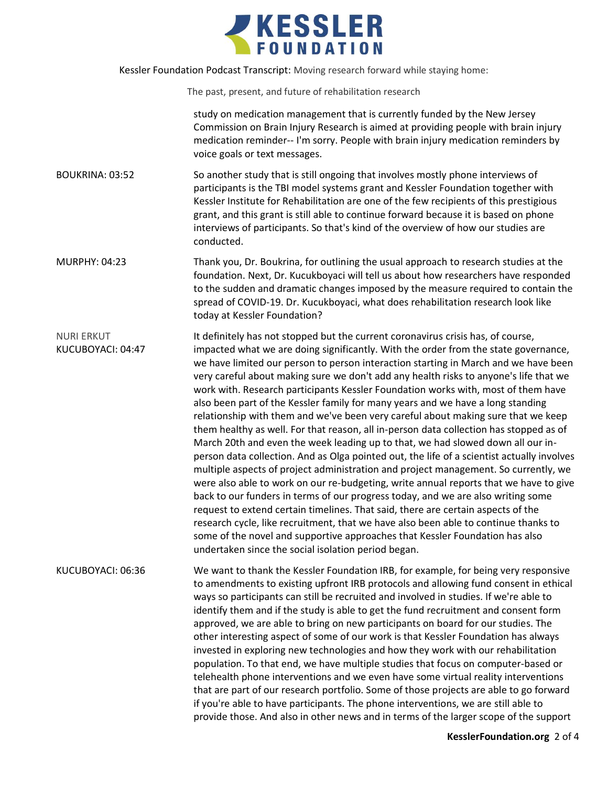

The past, present, and future of rehabilitation research

study on medication management that is currently funded by the New Jersey Commission on Brain Injury Research is aimed at providing people with brain injury medication reminder-- I'm sorry. People with brain injury medication reminders by voice goals or text messages.

BOUKRINA: 03:52 So another study that is still ongoing that involves mostly phone interviews of participants is the TBI model systems grant and Kessler Foundation together with Kessler Institute for Rehabilitation are one of the few recipients of this prestigious grant, and this grant is still able to continue forward because it is based on phone interviews of participants. So that's kind of the overview of how our studies are conducted.

MURPHY: 04:23 Thank you, Dr. Boukrina, for outlining the usual approach to research studies at the foundation. Next, Dr. Kucukboyaci will tell us about how researchers have responded to the sudden and dramatic changes imposed by the measure required to contain the spread of COVID-19. Dr. Kucukboyaci, what does rehabilitation research look like today at Kessler Foundation?

NURI ERKUT KUCUBOYACI: 04:47 It definitely has not stopped but the current coronavirus crisis has, of course, impacted what we are doing significantly. With the order from the state governance, we have limited our person to person interaction starting in March and we have been very careful about making sure we don't add any health risks to anyone's life that we work with. Research participants Kessler Foundation works with, most of them have also been part of the Kessler family for many years and we have a long standing relationship with them and we've been very careful about making sure that we keep them healthy as well. For that reason, all in-person data collection has stopped as of March 20th and even the week leading up to that, we had slowed down all our inperson data collection. And as Olga pointed out, the life of a scientist actually involves multiple aspects of project administration and project management. So currently, we were also able to work on our re-budgeting, write annual reports that we have to give back to our funders in terms of our progress today, and we are also writing some request to extend certain timelines. That said, there are certain aspects of the research cycle, like recruitment, that we have also been able to continue thanks to some of the novel and supportive approaches that Kessler Foundation has also undertaken since the social isolation period began.

KUCUBOYACI: 06:36 We want to thank the Kessler Foundation IRB, for example, for being very responsive to amendments to existing upfront IRB protocols and allowing fund consent in ethical ways so participants can still be recruited and involved in studies. If we're able to identify them and if the study is able to get the fund recruitment and consent form approved, we are able to bring on new participants on board for our studies. The other interesting aspect of some of our work is that Kessler Foundation has always invested in exploring new technologies and how they work with our rehabilitation population. To that end, we have multiple studies that focus on computer-based or telehealth phone interventions and we even have some virtual reality interventions that are part of our research portfolio. Some of those projects are able to go forward if you're able to have participants. The phone interventions, we are still able to provide those. And also in other news and in terms of the larger scope of the support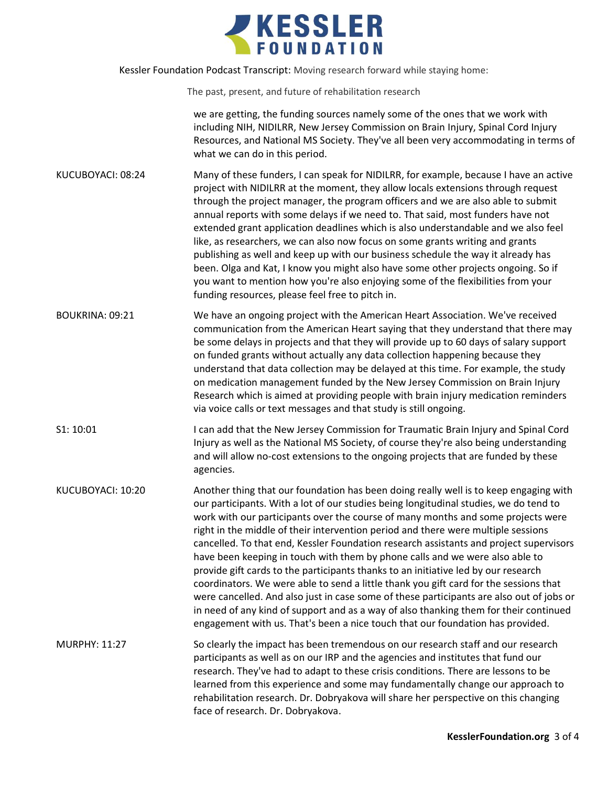

The past, present, and future of rehabilitation research

we are getting, the funding sources namely some of the ones that we work with including NIH, NIDILRR, New Jersey Commission on Brain Injury, Spinal Cord Injury Resources, and National MS Society. They've all been very accommodating in terms of what we can do in this period.

- KUCUBOYACI: 08:24 Many of these funders, I can speak for NIDILRR, for example, because I have an active project with NIDILRR at the moment, they allow locals extensions through request through the project manager, the program officers and we are also able to submit annual reports with some delays if we need to. That said, most funders have not extended grant application deadlines which is also understandable and we also feel like, as researchers, we can also now focus on some grants writing and grants publishing as well and keep up with our business schedule the way it already has been. Olga and Kat, I know you might also have some other projects ongoing. So if you want to mention how you're also enjoying some of the flexibilities from your funding resources, please feel free to pitch in.
- BOUKRINA: 09:21 We have an ongoing project with the American Heart Association. We've received communication from the American Heart saying that they understand that there may be some delays in projects and that they will provide up to 60 days of salary support on funded grants without actually any data collection happening because they understand that data collection may be delayed at this time. For example, the study on medication management funded by the New Jersey Commission on Brain Injury Research which is aimed at providing people with brain injury medication reminders via voice calls or text messages and that study is still ongoing.
- S1: 10:01 I can add that the New Jersey Commission for Traumatic Brain Injury and Spinal Cord Injury as well as the National MS Society, of course they're also being understanding and will allow no-cost extensions to the ongoing projects that are funded by these agencies.
- KUCUBOYACI: 10:20 Another thing that our foundation has been doing really well is to keep engaging with our participants. With a lot of our studies being longitudinal studies, we do tend to work with our participants over the course of many months and some projects were right in the middle of their intervention period and there were multiple sessions cancelled. To that end, Kessler Foundation research assistants and project supervisors have been keeping in touch with them by phone calls and we were also able to provide gift cards to the participants thanks to an initiative led by our research coordinators. We were able to send a little thank you gift card for the sessions that were cancelled. And also just in case some of these participants are also out of jobs or in need of any kind of support and as a way of also thanking them for their continued engagement with us. That's been a nice touch that our foundation has provided.

MURPHY: 11:27 So clearly the impact has been tremendous on our research staff and our research participants as well as on our IRP and the agencies and institutes that fund our research. They've had to adapt to these crisis conditions. There are lessons to be learned from this experience and some may fundamentally change our approach to rehabilitation research. Dr. Dobryakova will share her perspective on this changing face of research. Dr. Dobryakova.